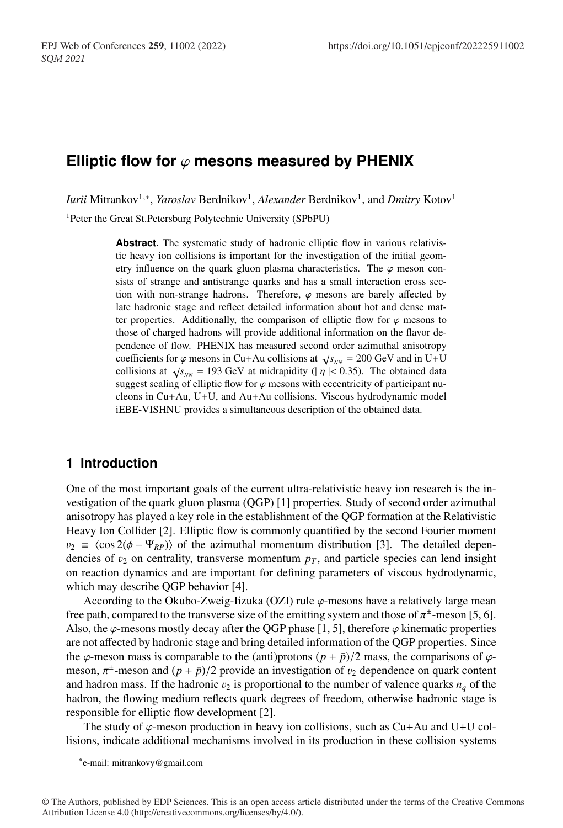# **Elliptic flow for**  $\varphi$  **mesons measured by PHENIX**

*Iurii* Mitrankov<sup>1,∗</sup>, *Yaroslav* Berdnikov<sup>1</sup>, *Alexander* Berdnikov<sup>1</sup>, and *Dmitry* Kotov<sup>1</sup>

1Peter the Great St.Petersburg Polytechnic University (SPbPU)

**Abstract.** The systematic study of hadronic elliptic flow in various relativistic heavy ion collisions is important for the investigation of the initial geometry influence on the quark gluon plasma characteristics. The  $\varphi$  meson consists of strange and antistrange quarks and has a small interaction cross section with non-strange hadrons. Therefore,  $\varphi$  mesons are barely affected by late hadronic stage and reflect detailed information about hot and dense matter properties. Additionally, the comparison of elliptic flow for  $\varphi$  mesons to those of charged hadrons will provide additional information on the flavor dependence of flow. PHENIX has measured second order azimuthal anisotropy coefficients for  $\varphi$  mesons in Cu+Au collisions at  $\sqrt{s_{NN}}$  = 200 GeV and in U+U collisions at  $\sqrt{s_{NN}}$  = 193 GeV at midrapidity (|  $\eta$ | < 0.35). The obtained data suggest scaling of elliptic flow for  $\varphi$  mesons with eccentricity of participant nucleons in Cu+Au, U+U, and Au+Au collisions. Viscous hydrodynamic model iEBE-VISHNU provides a simultaneous description of the obtained data.

## **1 Introduction**

One of the most important goals of the current ultra-relativistic heavy ion research is the investigation of the quark gluon plasma (QGP) [1] properties. Study of second order azimuthal anisotropy has played a key role in the establishment of the QGP formation at the Relativistic Heavy Ion Collider [2]. Elliptic flow is commonly quantified by the second Fourier moment  $v_2 \equiv \langle \cos 2(\phi - \Psi_{RP}) \rangle$  of the azimuthal momentum distribution [3]. The detailed dependencies of  $v_2$  on centrality, transverse momentum  $p<sub>T</sub>$ , and particle species can lend insight on reaction dynamics and are important for defining parameters of viscous hydrodynamic, which may describe QGP behavior [4].

According to the Okubo-Zweig-Iizuka (OZI) rule  $\varphi$ -mesons have a relatively large mean free path, compared to the transverse size of the emitting system and those of  $\pi^{\pm}$ -meson [5, 6]. Also, the  $\varphi$ -mesons mostly decay after the QGP phase [1, 5], therefore  $\varphi$  kinematic properties are not affected by hadronic stage and bring detailed information of the QGP properties. Since the  $\varphi$ -meson mass is comparable to the (anti)protons  $(p + \bar{p})/2$  mass, the comparisons of  $\varphi$ meson,  $\pi^{\pm}$ -meson and  $(p + \bar{p})/2$  provide an investigation of  $v_2$  dependence on quark content and hadron mass. If the hadronic  $v_2$  is proportional to the number of valence quarks  $n_q$  of the hadron, the flowing medium reflects quark degrees of freedom, otherwise hadronic stage is responsible for elliptic flow development [2].

The study of  $\varphi$ -meson production in heavy ion collisions, such as Cu+Au and U+U collisions, indicate additional mechanisms involved in its production in these collision systems

<sup>∗</sup>e-mail: mitrankovy@gmail.com

<sup>©</sup> The Authors, published by EDP Sciences. This is an open access article distributed under the terms of the Creative Commons Attribution License 4.0 (http://creativecommons.org/licenses/by/4.0/).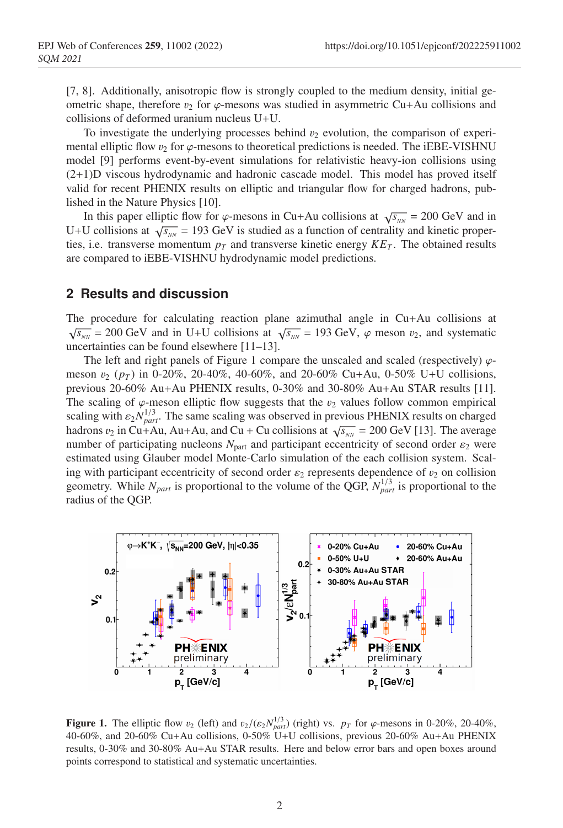[7, 8]. Additionally, anisotropic flow is strongly coupled to the medium density, initial geometric shape, therefore  $v_2$  for  $\varphi$ -mesons was studied in asymmetric Cu+Au collisions and collisions of deformed uranium nucleus U+U.

To investigate the underlying processes behind  $v_2$  evolution, the comparison of experimental elliptic flow  $v_2$  for  $\varphi$ -mesons to theoretical predictions is needed. The iEBE-VISHNU model [9] performs event-by-event simulations for relativistic heavy-ion collisions using (2+1)D viscous hydrodynamic and hadronic cascade model. This model has proved itself valid for recent PHENIX results on elliptic and triangular flow for charged hadrons, published in the Nature Physics [10].

In this paper elliptic flow for  $\varphi$ -mesons in Cu+Au collisions at  $\sqrt{s_{NN}} = 200 \text{ GeV}$  and in U+U collisions at  $\sqrt{s_{NN}}$  = 193 GeV is studied as a function of centrality and kinetic properties, i.e. transverse momentum  $p<sub>T</sub>$  and transverse kinetic energy  $KF<sub>T</sub>$ . The obtained results are compared to iEBE-VISHNU hydrodynamic model predictions.

#### **2 Results and discussion**

The procedure for calculating reaction plane azimuthal angle in Cu+Au collisions at  $\sqrt{s_{NN}}$  = 200 GeV and in U+U collisions at  $\sqrt{s_{NN}}$  = 193 GeV,  $\varphi$  meson  $v_2$ , and systematic uncertainties can be found elsewhere [11–13].

The left and right panels of Figure 1 compare the unscaled and scaled (respectively)  $\varphi$ meson  $v_2$  ( $p_T$ ) in 0-20%, 20-40%, 40-60%, and 20-60% Cu+Au, 0-50% U+U collisions, previous 20-60% Au+Au PHENIX results, 0-30% and 30-80% Au+Au STAR results [11]. The scaling of  $\varphi$ -meson elliptic flow suggests that the  $v_2$  values follow common empirical scaling with  $\varepsilon_2 N_{part}^{1/3}$ . The same scaling was observed in previous PHENIX results on charged hadrons  $v_2$  in Cu+Au, Au+Au, and Cu + Cu collisions at  $\sqrt{s_{NN}}$  = 200 GeV [13]. The average number of participating nucleons  $N_{\text{part}}$  and participant eccentricity of second order  $\varepsilon_2$  were estimated using Glauber model Monte-Carlo simulation of the each collision system. Scaling with participant eccentricity of second order  $\varepsilon_2$  represents dependence of  $v_2$  on collision geometry. While  $N_{part}$  is proportional to the volume of the QGP,  $N_{part}^{1/3}$  is proportional to the radius of the QGP.



**Figure 1.** The elliptic flow  $v_2$  (left) and  $v_2/(\varepsilon_2 N_{part}^{1/3})$  (right) vs.  $p_T$  for  $\varphi$ -mesons in 0-20%, 20-40%, 40-60%, and 20-60% Cu+Au collisions, 0-50% U+U collisions, previous 20-60% Au+Au PHENIX results, 0-30% and 30-80% Au+Au STAR results. Here and below error bars and open boxes around points correspond to statistical and systematic uncertainties.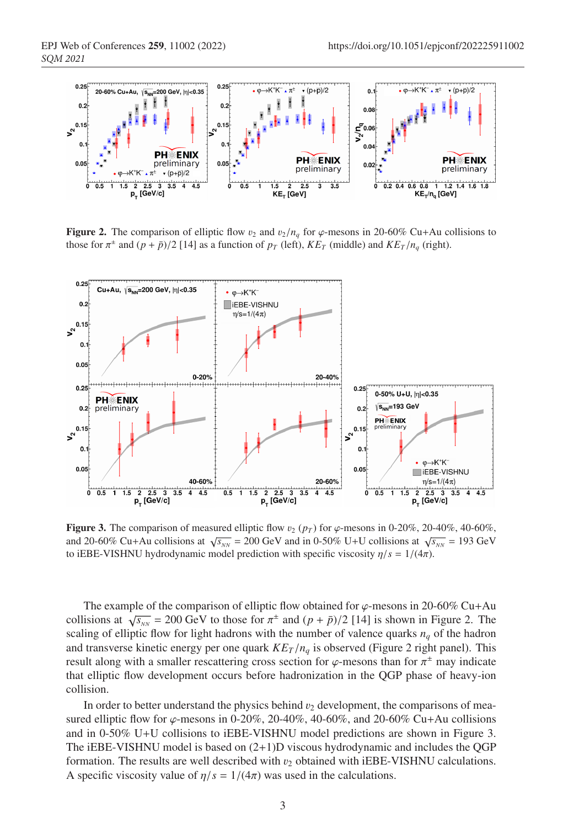

**Figure 2.** The comparison of elliptic flow  $v_2$  and  $v_2/n_q$  for  $\varphi$ -mesons in 20-60% Cu+Au collisions to those for  $\pi^{\pm}$  and  $(p + \bar{p})/2$  [14] as a function of  $p_T$  (left),  $K E_T$  (middle) and  $K E_T / n_q$  (right).



**Figure 3.** The comparison of measured elliptic flow  $v_2$  ( $p_T$ ) for  $\varphi$ -mesons in 0-20%, 20-40%, 40-60%, and 20-60% Cu+Au collisions at  $\sqrt{s_{NN}}$  = 200 GeV and in 0-50% U+U collisions at  $\sqrt{s_{NN}}$  = 193 GeV to iEBE-VISHNU hydrodynamic model prediction with specific viscosity  $\eta/s = 1/(4\pi)$ .

The example of the comparison of elliptic flow obtained for  $\varphi$ -mesons in 20-60% Cu+Au collisions at  $\sqrt{s_{NN}}$  = 200 GeV to those for  $\pi^{\pm}$  and  $(p + \bar{p})/2$  [14] is shown in Figure 2. The scaling of elliptic flow for light hadrons with the number of valence quarks *nq* of the hadron and transverse kinetic energy per one quark  $K E_T / n_q$  is observed (Figure 2 right panel). This result along with a smaller rescattering cross section for  $\varphi$ -mesons than for  $\pi^{\pm}$  may indicate that elliptic flow development occurs before hadronization in the QGP phase of heavy-ion collision.

In order to better understand the physics behind  $v_2$  development, the comparisons of measured elliptic flow for  $\varphi$ -mesons in 0-20%, 20-40%, 40-60%, and 20-60% Cu+Au collisions and in 0-50% U+U collisions to iEBE-VISHNU model predictions are shown in Figure 3. The iEBE-VISHNU model is based on  $(2+1)D$  viscous hydrodynamic and includes the QGP formation. The results are well described with  $v_2$  obtained with iEBE-VISHNU calculations. A specific viscosity value of  $\eta/s = 1/(4\pi)$  was used in the calculations.